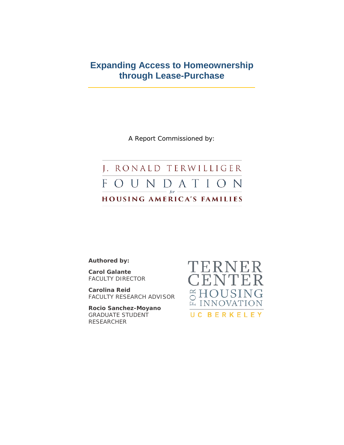# **Expanding Access to Homeownership through Lease-Purchase**

A Report Commissioned by:

### J. RONALD TERWILLIGER FOUN DATION  $- for$ HOUSING AMERICA'S FAMILIES

**Authored by:**

**Carol Galante** FACULTY DIRECTOR

**Carolina Reid** FACULTY RESEARCH ADVISOR

**Rocio Sanchez-Moyano** GRADUATE STUDENT RESEARCHER

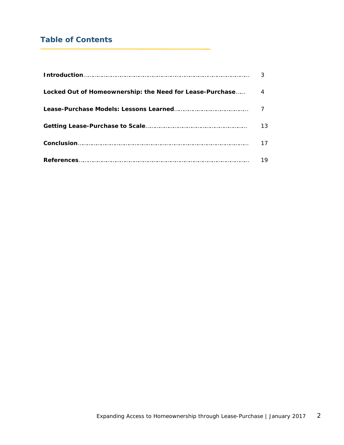# **Table of Contents**

| Locked Out of Homeownership: the Need for Lease-Purchase |    |
|----------------------------------------------------------|----|
|                                                          |    |
|                                                          | 13 |
|                                                          | 17 |
|                                                          | 19 |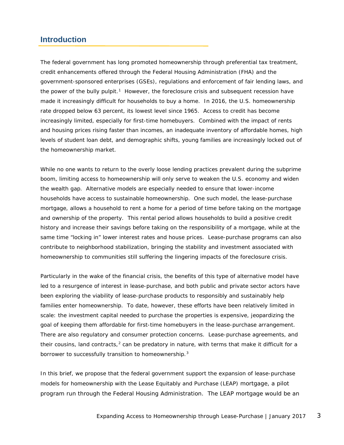## **Introduction**

The federal government has long promoted homeownership through preferential tax treatment, credit enhancements offered through the Federal Housing Administration (FHA) and the government-sponsored enterprises (GSEs), regulations and enforcement of fair lending laws, and the power of the bully pulpit.<sup>[1](#page-18-0)</sup> However, the foreclosure crisis and subsequent recession have made it increasingly difficult for households to buy a home. In 2016, the U.S. homeownership rate dropped below 63 percent, its lowest level since 1965. Access to credit has become increasingly limited, especially for first-time homebuyers. Combined with the impact of rents and housing prices rising faster than incomes, an inadequate inventory of affordable homes, high levels of student loan debt, and demographic shifts, young families are increasingly locked out of the homeownership market.

While no one wants to return to the overly loose lending practices prevalent during the subprime boom, limiting access to homeownership will only serve to weaken the U.S. economy and widen the wealth gap. Alternative models are especially needed to ensure that lower-income households have access to sustainable homeownership. One such model, the lease-purchase mortgage, allows a household to rent a home for a period of time before taking on the mortgage and ownership of the property. This rental period allows households to build a positive credit history and increase their savings before taking on the responsibility of a mortgage, while at the same time "locking in" lower interest rates and house prices. Lease-purchase programs can also contribute to neighborhood stabilization, bringing the stability and investment associated with homeownership to communities still suffering the lingering impacts of the foreclosure crisis.

Particularly in the wake of the financial crisis, the benefits of this type of alternative model have led to a resurgence of interest in lease-purchase, and both public and private sector actors have been exploring the viability of lease-purchase products to responsibly and sustainably help families enter homeownership. To date, however, these efforts have been relatively limited in scale: the investment capital needed to purchase the properties is expensive, jeopardizing the goal of keeping them affordable for first-time homebuyers in the lease-purchase arrangement. There are also regulatory and consumer protection concerns. Lease-purchase agreements, and their cousins, land contracts, $2$  can be predatory in nature, with terms that make it difficult for a borrower to successfully transition to homeownership.<sup>[3](#page-18-2)</sup>

In this brief, we propose that the federal government support the expansion of lease-purchase models for homeownership with the Lease Equitably and Purchase (LEAP) mortgage, a pilot program run through the Federal Housing Administration. The LEAP mortgage would be an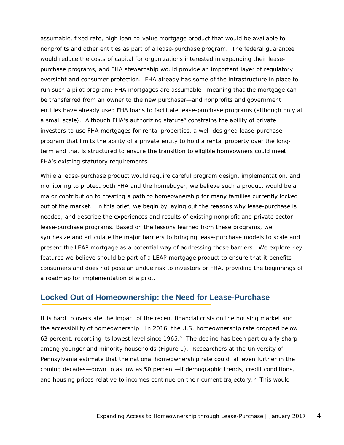assumable, fixed rate, high loan-to-value mortgage product that would be available to nonprofits and other entities as part of a lease-purchase program. The federal guarantee would reduce the costs of capital for organizations interested in expanding their leasepurchase programs, and FHA stewardship would provide an important layer of regulatory oversight and consumer protection. FHA already has some of the infrastructure in place to run such a pilot program: FHA mortgages are assumable—meaning that the mortgage can be transferred from an owner to the new purchaser—and nonprofits and government entities have already used FHA loans to facilitate lease-purchase programs (although only at a small scale). Although FHA's authorizing statute<sup>[4](#page-19-0)</sup> constrains the ability of private investors to use FHA mortgages for rental properties, a well-designed lease-purchase program that limits the ability of a private entity to hold a rental property over the longterm and that is structured to ensure the transition to eligible homeowners could meet FHA's existing statutory requirements.

While a lease-purchase product would require careful program design, implementation, and monitoring to protect both FHA and the homebuyer, we believe such a product would be a major contribution to creating a path to homeownership for many families currently locked out of the market. In this brief, we begin by laying out the reasons why lease-purchase is needed, and describe the experiences and results of existing nonprofit and private sector lease-purchase programs. Based on the lessons learned from these programs, we synthesize and articulate the major barriers to bringing lease-purchase models to scale and present the LEAP mortgage as a potential way of addressing those barriers. We explore key features we believe should be part of a LEAP mortgage product to ensure that it benefits consumers and does not pose an undue risk to investors or FHA, providing the beginnings of a roadmap for implementation of a pilot.

### **Locked Out of Homeownership: the Need for Lease-Purchase**

It is hard to overstate the impact of the recent financial crisis on the housing market and the accessibility of homeownership. In 2016, the U.S. homeownership rate dropped below 63 percent, recording its lowest level since  $1965<sup>5</sup>$ . The decline has been particularly sharp among younger and minority households (Figure 1). Researchers at the University of Pennsylvania estimate that the national homeownership rate could fall even further in the coming decades—down to as low as 50 percent—if demographic trends, credit conditions, and housing prices relative to incomes continue on their current trajectory.<sup>[6](#page-19-2)</sup> This would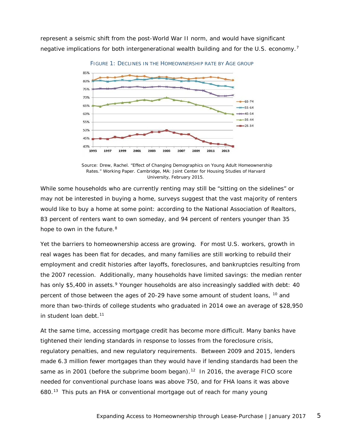represent a seismic shift from the post-World War II norm, and would have significant negative implications for both intergenerational wealth building and for the U.S. economy.<sup>[7](#page-20-0)</sup>



*Source: Drew, Rachel. "Effect of Changing Demographics on Young Adult Homeownership Rates." Working Paper. Cambridge, MA: Joint Center for Housing Studies of Harvard University, February 2015.*

While some households who are currently renting may still be "sitting on the sidelines" or may not be interested in buying a home, surveys suggest that the vast majority of renters would like to buy a home at some point: according to the National Association of Realtors, 83 percent of renters want to own someday, and 94 percent of renters younger than 35 hope to own in the future.<sup>8</sup>

Yet the barriers to homeownership access are growing. For most U.S. workers, growth in real wages has been flat for decades, and many families are still working to rebuild their employment and credit histories after layoffs, foreclosures, and bankruptcies resulting from the 2007 recession. Additionally, many households have limited savings: the median renter has only \$5,400 in assets.<sup>[9](#page-20-2)</sup> Younger households are also increasingly saddled with debt: 40 percent of those between the ages of 20-29 have some amount of student loans, [10](#page-20-3) and more than *two-thirds* of college students who graduated in 2014 owe an average of \$28,950 in student loan debt.<sup>[11](#page-20-4)</sup>

At the same time, accessing mortgage credit has become more difficult. Many banks have tightened their lending standards in response to losses from the foreclosure crisis, regulatory penalties, and new regulatory requirements. Between 2009 and 2015, lenders made 6.3 million fewer mortgages than they would have if lending standards had been the same as in 2001 (before the subprime boom began).<sup>12</sup> In 2016, the average FICO score needed for conventional purchase loans was above 750, and for FHA loans it was above 680.[13](#page-20-6) This puts an FHA or conventional mortgage out of reach for many young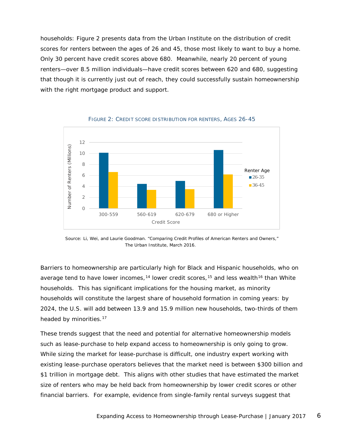households: Figure 2 presents data from the Urban Institute on the distribution of credit scores for renters between the ages of 26 and 45, those most likely to want to buy a home. Only 30 percent have credit scores above 680. Meanwhile, nearly 20 percent of young renters—over 8.5 million individuals—have credit scores between 620 and 680, suggesting that though it is currently just out of reach, they could successfully sustain homeownership with the right mortgage product and support.



FIGURE 2: CREDIT SCORE DISTRIBUTION FOR RENTERS, AGES 26-45

*Source: Li, Wei, and Laurie Goodman. "Comparing Credit Profiles of American Renters and Owners," The Urban Institute, March 2016.*

Barriers to homeownership are particularly high for Black and Hispanic households, who on average tend to have lower incomes,<sup>[14](#page-20-7)</sup> lower credit scores,<sup>[15](#page-20-8)</sup> and less wealth<sup>[16](#page-20-9)</sup> than White households. This has significant implications for the housing market, as minority households will constitute the largest share of household formation in coming years: by 2024, the U.S. will add between 13.9 and 15.9 million new households, two-thirds of them headed by minorities.<sup>17</sup>

These trends suggest that the need and potential for alternative homeownership models such as lease-purchase to help expand access to homeownership is only going to grow. While sizing the market for lease-purchase is difficult, one industry expert working with existing lease-purchase operators believes that the market need is between \$300 billion and \$1 trillion in mortgage debt. This aligns with other studies that have estimated the market size of renters who may be held back from homeownership by lower credit scores or other financial barriers. For example, evidence from single-family rental surveys suggest that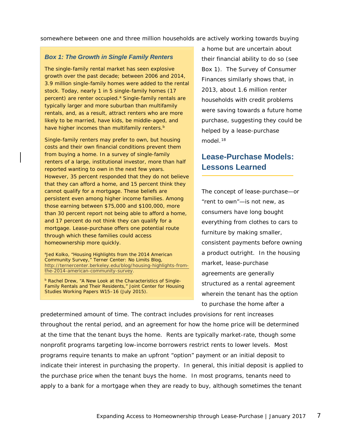somewhere between one and three million households are actively working towards buying

#### *Box 1: The Growth in Single Family Renters*

The single-family rental market has seen explosive growth over the past decade; between 2006 and 2014, 3.9 million single-family homes were added to the rental stock. Today, nearly 1 in 5 single-family homes (17 percent) are renter occupied.<sup>a</sup> Single-family rentals are typically larger and more suburban than multifamily rentals, and, as a result, attract renters who are more likely to be married, have kids, be middle-aged, and have higher incomes than multifamily renters.<sup>b</sup>

Single-family renters may prefer to own, but housing costs and their own financial conditions prevent them from buying a home. In a survey of single-family renters of a large, institutional investor, more than half reported wanting to own in the next few years. However, 35 percent responded that they do not believe that they can afford a home, and 15 percent think they cannot qualify for a mortgage. These beliefs are persistent even among higher income families. Among those earning between \$75,000 and \$100,000, more than 30 percent report not being able to afford a home, and 17 percent do not think they can qualify for a mortgage. Lease-purchase offers one potential route through which these families could access homeownership more quickly.

aJed Kolko, "Housing Highlights from the 2014 American Community Survey," *Terner Center: No Limits Blog*, [http://ternercenter.berkeley.edu/blog/housing-highlights-from](http://ternercenter.berkeley.edu/blog/housing-highlights-from-the-2014-american-community-survey)[the-2014-american-community-survey.](http://ternercenter.berkeley.edu/blog/housing-highlights-from-the-2014-american-community-survey)

**b Rachel Drew, "A New Look at the Characteristics of Single-**Family Rentals and Their Residents," Joint Center for Housing Studies Working Papers W15–16 (July 2015).

a home but are uncertain about their financial ability to do so (see Box 1). The Survey of Consumer Finances similarly shows that, in 2013, about 1.6 million renter households with credit problems were saving towards a future home purchase, suggesting they could be helped by a lease-purchase model $18$ 

# **Lease-Purchase Models: Lessons Learned**

The concept of lease-purchase—or "rent to own"—is not new, as consumers have long bought everything from clothes to cars to furniture by making smaller, consistent payments before owning a product outright. In the housing market, lease-purchase agreements are generally structured as a rental agreement wherein the tenant has the option to purchase the home after a

predetermined amount of time. The contract includes provisions for rent increases throughout the rental period, and an agreement for how the home price will be determined at the time that the tenant buys the home. Rents are typically market-rate, though some nonprofit programs targeting low-income borrowers restrict rents to lower levels. Most programs require tenants to make an upfront "option" payment or an initial deposit to indicate their interest in purchasing the property. In general, this initial deposit is applied to the purchase price when the tenant buys the home. In most programs, tenants need to apply to a bank for a mortgage when they are ready to buy, although sometimes the tenant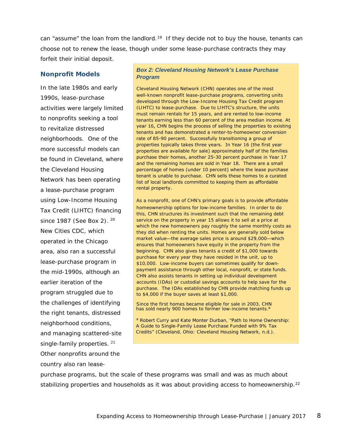can "assume" the loan from the landlord.<sup>[19](#page-20-12)</sup> If they decide not to buy the house, tenants can choose not to renew the lease, though under some lease-purchase contracts they may forfeit their initial deposit.

#### **Nonprofit Models**

In the late 1980s and early 1990s, lease-purchase activities were largely limited to nonprofits seeking a tool to revitalize distressed neighborhoods. One of the more successful models can be found in Cleveland, where the Cleveland Housing Network has been operating a lease-purchase program using Low-Income Housing Tax Credit (LIHTC) financing since 1987 (See Box 2). <sup>20</sup> New Cities CDC, which operated in the Chicago area, also ran a successful lease-purchase program in the mid-1990s, although an earlier iteration of the program struggled due to the challenges of identifying the right tenants, distressed neighborhood conditions, and managing scattered-site single-family properties. [21](#page-20-14) Other nonprofits around the country also ran lease-

#### *Box 2: Cleveland Housing Network's Lease Purchase Program*

Cleveland Housing Network (CHN) operates one of the most well-known nonprofit lease-purchase programs, converting units developed through the Low-Income Housing Tax Credit program (LIHTC) to lease-purchase. Due to LIHTC's structure, the units must remain rentals for 15 years, and are rented to low-income tenants earning less than 60 percent of the area median income. At year 16, CHN begins the process of selling the properties to existing tenants and has demonstrated a renter-to-homeowner conversion rate of 85-90 percent. Successfully transitioning a group of properties typically takes three years. In Year 16 (the first year properties are available for sale) approximately half of the families purchase their homes, another 25-30 percent purchase in Year 17 and the remaining homes are sold in Year 18. There are a small percentage of homes (under 10 percent) where the lease purchase tenant is unable to purchase. CHN sells these homes to a curated list of local landlords committed to keeping them as affordable rental property.

As a nonprofit, one of CHN's primary goals is to provide affordable homeownership options for low-income families. In order to do this, CHN structures its investment such that the remaining debt service on the property in year 15 allows it to sell at a price at which the new homeowners pay roughly the same monthly costs as they did when renting the units. Homes are generally sold below market value—the average sales price is around \$29,000—which ensures that homeowners have equity in the property from the beginning. CHN also gives tenants a credit of \$1,000 towards purchase for every year they have resided in the unit, up to \$10,000. Low-income buyers can sometimes qualify for downpayment assistance through other local, nonprofit, or state funds. CHN also assists tenants in setting up individual development accounts (IDAs) or custodial savings accounts to help save for the purchase. The IDAs established by CHN provide matching funds up to \$4,000 if the buyer saves at least \$1,000.

Since the first homes became eligible for sale in 2003, CHN has sold nearly 900 homes to former low-income tenants.<sup>a</sup>

<sup>a</sup> Robert Curry and Kate Monter Durban, "Path to Home Ownership: A Guide to Single-Family Lease Purchase Funded with 9% Tax Credits" (Cleveland, Ohio: Cleveland Housing Network, n.d.).

purchase programs, but the scale of these programs was small and was as much about stabilizing properties and households as it was about providing access to homeownership.<sup>[22](#page-20-15)</sup>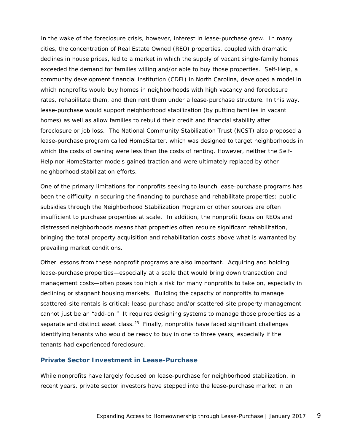In the wake of the foreclosure crisis, however, interest in lease-purchase grew. In many cities, the concentration of Real Estate Owned (REO) properties, coupled with dramatic declines in house prices, led to a market in which the supply of vacant single-family homes exceeded the demand for families willing and/or able to buy those properties. Self-Help, a community development financial institution (CDFI) in North Carolina, developed a model in which nonprofits would buy homes in neighborhoods with high vacancy and foreclosure rates, rehabilitate them, and then rent them under a lease-purchase structure. In this way, lease-purchase would support neighborhood stabilization (by putting families in vacant homes) as well as allow families to rebuild their credit and financial stability after foreclosure or job loss. The National Community Stabilization Trust (NCST) also proposed a lease-purchase program called HomeStarter, which was designed to target neighborhoods in which the costs of owning were less than the costs of renting. However, neither the Self-Help nor HomeStarter models gained traction and were ultimately replaced by other neighborhood stabilization efforts.

One of the primary limitations for nonprofits seeking to launch lease-purchase programs has been the difficulty in securing the financing to purchase and rehabilitate properties: public subsidies through the Neighborhood Stabilization Program or other sources are often insufficient to purchase properties at scale. In addition, the nonprofit focus on REOs and distressed neighborhoods means that properties often require significant rehabilitation, bringing the total property acquisition and rehabilitation costs above what is warranted by prevailing market conditions.

Other lessons from these nonprofit programs are also important. Acquiring and holding lease-purchase properties—especially at a scale that would bring down transaction and management costs—often poses too high a risk for many nonprofits to take on, especially in declining or stagnant housing markets. Building the capacity of nonprofits to manage scattered-site rentals is critical: lease-purchase and/or scattered-site property management cannot just be an "add-on." It requires designing systems to manage those properties as a separate and distinct asset class.<sup>23</sup> Finally, nonprofits have faced significant challenges identifying tenants who would be ready to buy in one to three years, especially if the tenants had experienced foreclosure.

#### **Private Sector Investment in Lease-Purchase**

While nonprofits have largely focused on lease-purchase for neighborhood stabilization, in recent years, private sector investors have stepped into the lease-purchase market in an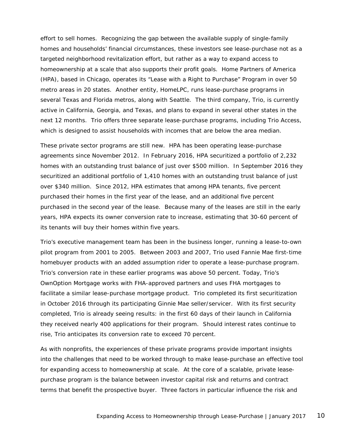effort to sell homes. Recognizing the gap between the available supply of single-family homes and households' financial circumstances, these investors see lease-purchase not as a targeted neighborhood revitalization effort, but rather as a way to expand access to homeownership at a scale that also supports their profit goals. Home Partners of America (HPA), based in Chicago, operates its "Lease with a Right to Purchase" Program in over 50 metro areas in 20 states. Another entity, HomeLPC, runs lease-purchase programs in several Texas and Florida metros, along with Seattle. The third company, Trio, is currently active in California, Georgia, and Texas, and plans to expand in several other states in the next 12 months. Trio offers three separate lease-purchase programs, including Trio Access, which is designed to assist households with incomes that are below the area median.

These private sector programs are still new. HPA has been operating lease-purchase agreements since November 2012. In February 2016, HPA securitized a portfolio of 2,232 homes with an outstanding trust balance of just over \$500 million. In September 2016 they securitized an additional portfolio of 1,410 homes with an outstanding trust balance of just over \$340 million. Since 2012, HPA estimates that among HPA tenants, five percent purchased their homes in the first year of the lease, and an additional five percent purchased in the second year of the lease. Because many of the leases are still in the early years, HPA expects its owner conversion rate to increase, estimating that 30-60 percent of its tenants will buy their homes within five years.

Trio's executive management team has been in the business longer, running a lease-to-own pilot program from 2001 to 2005. Between 2003 and 2007, Trio used Fannie Mae first-time homebuyer products with an added assumption rider to operate a lease-purchase program. Trio's conversion rate in these earlier programs was above 50 percent. Today, Trio's OwnOption Mortgage works with FHA-approved partners and uses FHA mortgages to facilitate a similar lease-purchase mortgage product. Trio completed its first securitization in October 2016 through its participating Ginnie Mae seller/servicer. With its first security completed, Trio is already seeing results: in the first 60 days of their launch in California they received nearly 400 applications for their program. Should interest rates continue to rise, Trio anticipates its conversion rate to exceed 70 percent.

As with nonprofits, the experiences of these private programs provide important insights into the challenges that need to be worked through to make lease-purchase an effective tool for expanding access to homeownership at scale. At the core of a scalable, private leasepurchase program is the balance between investor capital risk and returns and contract terms that benefit the prospective buyer. Three factors in particular influence the risk and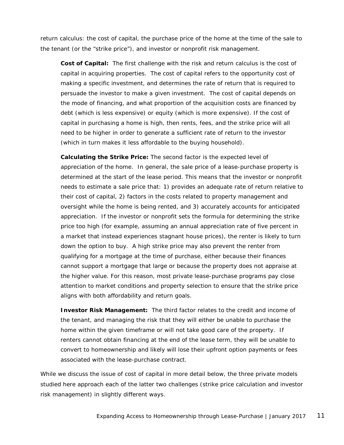return calculus: the cost of capital, the purchase price of the home at the time of the sale to the tenant (or the "strike price"), and investor or nonprofit risk management.

**Cost of Capital:** The first challenge with the risk and return calculus is the cost of capital in acquiring properties. The cost of capital refers to the opportunity cost of making a specific investment, and determines the rate of return that is required to persuade the investor to make a given investment. The cost of capital depends on the mode of financing, and what proportion of the acquisition costs are financed by debt (which is less expensive) or equity (which is more expensive). If the cost of capital in purchasing a home is high, then rents, fees, and the strike price will all need to be higher in order to generate a sufficient rate of return to the investor (which in turn makes it less affordable to the buying household).

**Calculating the Strike Price:** The second factor is the expected level of appreciation of the home. In general, the sale price of a lease-purchase property is determined at the start of the lease period. This means that the investor or nonprofit needs to estimate a sale price that: 1) provides an adequate rate of return relative to their cost of capital, 2) factors in the costs related to property management and oversight while the home is being rented, and 3) accurately accounts for anticipated appreciation. If the investor or nonprofit sets the formula for determining the strike price too high (for example, assuming an annual appreciation rate of five percent in a market that instead experiences stagnant house prices), the renter is likely to turn down the option to buy. A high strike price may also prevent the renter from qualifying for a mortgage at the time of purchase, either because their finances cannot support a mortgage that large or because the property does not appraise at the higher value. For this reason, most private lease-purchase programs pay close attention to market conditions and property selection to ensure that the strike price aligns with both affordability and return goals.

**Investor Risk Management:**The third factor relates to the credit and income of the tenant, and managing the risk that they will either be unable to purchase the home within the given timeframe or will not take good care of the property. If renters cannot obtain financing at the end of the lease term, they will be unable to convert to homeownership and likely will lose their upfront option payments or fees associated with the lease-purchase contract.

While we discuss the issue of cost of capital in more detail below, the three private models studied here approach each of the latter two challenges (strike price calculation and investor risk management) in slightly different ways.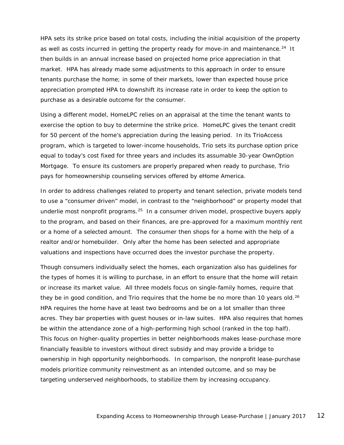HPA sets its strike price based on total costs, including the initial acquisition of the property as well as costs incurred in getting the property ready for move-in and maintenance.<sup>[24](#page-20-17)</sup> It then builds in an annual increase based on projected home price appreciation in that market. HPA has already made some adjustments to this approach in order to ensure tenants purchase the home; in some of their markets, lower than expected house price appreciation prompted HPA to downshift its increase rate in order to keep the option to purchase as a desirable outcome for the consumer.

Using a different model, HomeLPC relies on an appraisal at the time the tenant wants to exercise the option to buy to determine the strike price. HomeLPC gives the tenant credit for 50 percent of the home's appreciation during the leasing period. In its TrioAccess program, which is targeted to lower-income households, Trio sets its purchase option price equal to today's cost fixed for three years and includes its assumable 30-year OwnOption Mortgage. To ensure its customers are properly prepared when ready to purchase, Trio pays for homeownership counseling services offered by eHome America.

In order to address challenges related to property and tenant selection, private models tend to use a "consumer driven" model, in contrast to the "neighborhood" or property model that underlie most nonprofit programs.<sup>[25](#page-20-18)</sup> In a consumer driven model, prospective buyers apply to the program, and based on their finances, are pre-approved for a maximum monthly rent or a home of a selected amount. The consumer then shops for a home with the help of a realtor and/or homebuilder. Only *after* the home has been selected and appropriate valuations and inspections have occurred does the investor purchase the property.

Though consumers individually select the homes, each organization also has guidelines for the types of homes it is willing to purchase, in an effort to ensure that the home will retain or increase its market value. All three models focus on single-family homes, require that they be in good condition, and Trio requires that the home be no more than 10 years old.<sup>[26](#page-20-19)</sup> HPA requires the home have at least two bedrooms and be on a lot smaller than three acres. They bar properties with guest houses or in-law suites. HPA also requires that homes be within the attendance zone of a high-performing high school (ranked in the top half). This focus on higher-quality properties in better neighborhoods makes lease-purchase more financially feasible to investors without direct subsidy and may provide a bridge to ownership in high opportunity neighborhoods. In comparison, the nonprofit lease-purchase models prioritize community reinvestment as an intended outcome, and so may be targeting underserved neighborhoods, to stabilize them by increasing occupancy.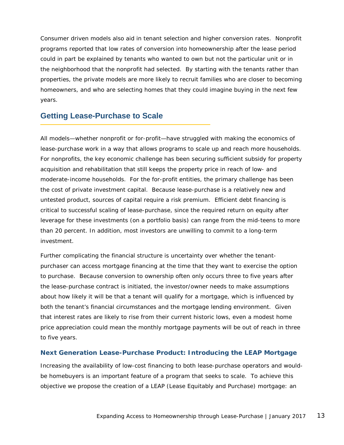Consumer driven models also aid in tenant selection and higher conversion rates. Nonprofit programs reported that low rates of conversion into homeownership after the lease period could in part be explained by tenants who wanted to own but not the particular unit or in the neighborhood that the nonprofit had selected. By starting with the tenants rather than properties, the private models are more likely to recruit families who are closer to becoming homeowners, and who are selecting homes that they could imagine buying in the next few years.

### **Getting Lease-Purchase to Scale**

All models—whether nonprofit or for-profit—have struggled with making the economics of lease-purchase work in a way that allows programs to scale up and reach more households. For nonprofits, the key economic challenge has been securing sufficient subsidy for property acquisition and rehabilitation that still keeps the property price in reach of low- and moderate-income households. For the for-profit entities, the primary challenge has been the cost of private investment capital. Because lease-purchase is a relatively new and untested product, sources of capital require a risk premium. Efficient debt financing is critical to successful scaling of lease-purchase, since the required return on equity after leverage for these investments (on a portfolio basis) can range from the mid-teens to more than 20 percent. In addition, most investors are unwilling to commit to a long-term investment.

Further complicating the financial structure is uncertainty over whether the tenantpurchaser can access mortgage financing at the time that they want to exercise the option to purchase. Because conversion to ownership often only occurs three to five years after the lease-purchase contract is initiated, the investor/owner needs to make assumptions about how likely it will be that a tenant will qualify for a mortgage, which is influenced by both the tenant's financial circumstances and the mortgage lending environment. Given that interest rates are likely to rise from their current historic lows, even a modest home price appreciation could mean the monthly mortgage payments will be out of reach in three to five years.

#### **Next Generation Lease-Purchase Product: Introducing the LEAP Mortgage**

Increasing the availability of low-cost financing to both lease-purchase operators and wouldbe homebuyers is an important feature of a program that seeks to scale. To achieve this objective we propose the creation of a LEAP (Lease Equitably and Purchase) mortgage: an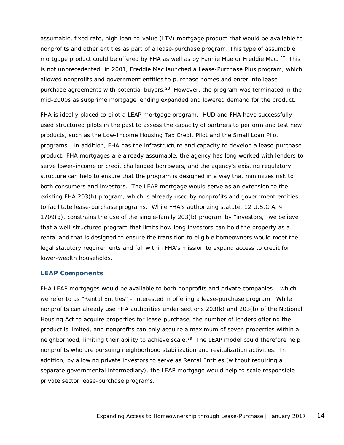assumable, fixed rate, high loan-to-value (LTV) mortgage product that would be available to nonprofits and other entities as part of a lease-purchase program. This type of assumable mortgage product could be offered by FHA as well as by Fannie Mae or Freddie Mac. <sup>[27](#page-20-20)</sup> This is not unprecedented: in 2001, Freddie Mac launched a Lease-Purchase Plus program, which allowed nonprofits and government entities to purchase homes and enter into leasepurchase agreements with potential buyers.<sup>28</sup> However, the program was terminated in the mid-2000s as subprime mortgage lending expanded and lowered demand for the product.

FHA is ideally placed to pilot a LEAP mortgage program. HUD and FHA have successfully used structured pilots in the past to assess the capacity of partners to perform and test new products, such as the Low-Income Housing Tax Credit Pilot and the Small Loan Pilot programs. In addition, FHA has the infrastructure and capacity to develop a lease-purchase product: FHA mortgages are already assumable, the agency has long worked with lenders to serve lower-income or credit challenged borrowers, and the agency's existing regulatory structure can help to ensure that the program is designed in a way that minimizes risk to both consumers and investors. The LEAP mortgage would serve as an extension to the existing FHA 203(b) program, which is already used by nonprofits and government entities to facilitate lease-purchase programs. While FHA's authorizing statute, *12 U.S.C.A. § 1709(g)*, constrains the use of the single-family 203(b) program by "investors," we believe that a well-structured program that limits how long investors can hold the property as a rental and that is designed to ensure the transition to eligible homeowners would meet the legal statutory requirements and fall within FHA's mission to expand access to credit for lower-wealth households.

#### **LEAP Components**

FHA LEAP mortgages would be available to both nonprofits and private companies – which we refer to as "Rental Entities" – interested in offering a lease-purchase program. While nonprofits can already use FHA authorities under sections 203(k) and 203(b) of the National Housing Act to acquire properties for lease-purchase, the number of lenders offering the product is limited, and nonprofits can only acquire a maximum of seven properties within a neighborhood, limiting their ability to achieve scale.<sup>[29](#page-20-22)</sup> The LEAP model could therefore help nonprofits who are pursuing neighborhood stabilization and revitalization activities. In addition, by allowing private investors to serve as Rental Entities (without requiring a separate governmental intermediary), the LEAP mortgage would help to scale responsible private sector lease-purchase programs.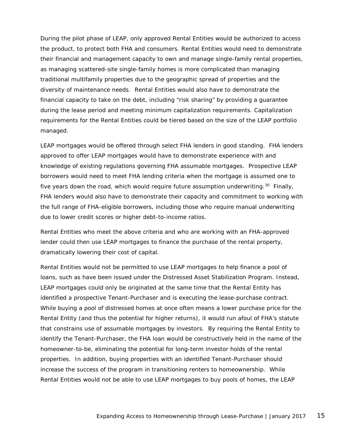During the pilot phase of LEAP, only approved Rental Entities would be authorized to access the product, to protect both FHA and consumers. Rental Entities would need to demonstrate their financial and management capacity to own and manage single-family rental properties, as managing scattered-site single-family homes is more complicated than managing traditional multifamily properties due to the geographic spread of properties and the diversity of maintenance needs. Rental Entities would also have to demonstrate the financial capacity to take on the debt, including "risk sharing" by providing a guarantee during the lease period and meeting minimum capitalization requirements. Capitalization requirements for the Rental Entities could be tiered based on the size of the LEAP portfolio managed.

LEAP mortgages would be offered through select FHA lenders in good standing. FHA lenders approved to offer LEAP mortgages would have to demonstrate experience with and knowledge of existing regulations governing FHA assumable mortgages. Prospective LEAP borrowers would need to meet FHA lending criteria when the mortgage is assumed one to five years down the road, which would require future assumption underwriting.<sup>[30](#page-20-23)</sup> Finally, FHA lenders would also have to demonstrate their capacity and commitment to working with the full range of FHA-eligible borrowers, including those who require manual underwriting due to lower credit scores or higher debt-to-income ratios.

Rental Entities who meet the above criteria and who are working with an FHA-approved lender could then use LEAP mortgages to finance the purchase of the rental property, dramatically lowering their cost of capital.

Rental Entities would not be permitted to use LEAP mortgages to help finance a pool of loans, such as have been issued under the Distressed Asset Stabilization Program. Instead, LEAP mortgages could only be originated at the same time that the Rental Entity has identified a prospective Tenant-Purchaser and is executing the lease-purchase contract. While buying a pool of distressed homes at once often means a lower purchase price for the Rental Entity (and thus the potential for higher returns), it would run afoul of FHA's statute that constrains use of assumable mortgages by investors. By requiring the Rental Entity to identify the Tenant-Purchaser, the FHA loan would be constructively held in the name of the homeowner-to-be, eliminating the potential for long-term investor holds of the rental properties. In addition, buying properties with an identified Tenant-Purchaser should increase the success of the program in transitioning renters to homeownership. While Rental Entities would not be able to use LEAP mortgages to buy pools of homes, the LEAP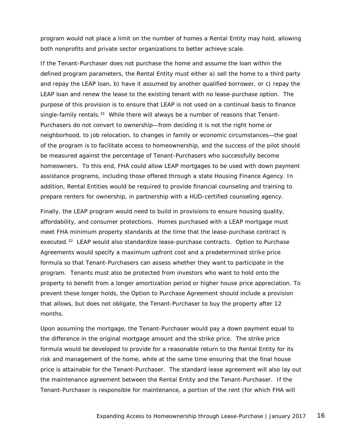program would not place a limit on the number of homes a Rental Entity may hold, allowing both nonprofits and private sector organizations to better achieve scale.

If the Tenant-Purchaser does not purchase the home and assume the loan within the defined program parameters, the Rental Entity must either a) sell the home to a third party and repay the LEAP loan, b) have it assumed by another qualified borrower, or c) repay the LEAP loan and renew the lease to the existing tenant with no lease-purchase option. The purpose of this provision is to ensure that LEAP is not used on a continual basis to finance single-family rentals. $31$  While there will always be a number of reasons that Tenant-Purchasers do not convert to ownership—from deciding it is not the right home or neighborhood, to job relocation, to changes in family or economic circumstances—the goal of the program is to facilitate access to homeownership, and the success of the pilot should be measured against the percentage of Tenant-Purchasers who successfully become homeowners. To this end, FHA could allow LEAP mortgages to be used with down payment assistance programs, including those offered through a state Housing Finance Agency. In addition, Rental Entities would be required to provide financial counseling and training to prepare renters for ownership, in partnership with a HUD-certified counseling agency.

Finally, the LEAP program would need to build in provisions to ensure housing quality, affordability, and consumer protections. Homes purchased with a LEAP mortgage must meet FHA minimum property standards at the time that the lease-purchase contract is executed.<sup>[32](#page-20-25)</sup> LEAP would also standardize lease-purchase contracts. Option to Purchase Agreements would specify a maximum upfront cost and a predetermined strike price formula so that Tenant-Purchasers can assess whether they want to participate in the program. Tenants must also be protected from investors who want to hold onto the property to benefit from a longer amortization period or higher house price appreciation. To prevent these longer holds, the Option to Purchase Agreement should include a provision that allows, but does not obligate, the Tenant-Purchaser to buy the property after 12 months.

Upon assuming the mortgage, the Tenant-Purchaser would pay a down payment equal to the difference in the original mortgage amount and the strike price. The strike price formula would be developed to provide for a reasonable return to the Rental Entity for its risk and management of the home, while at the same time ensuring that the final house price is attainable for the Tenant-Purchaser. The standard lease agreement will also lay out the maintenance agreement between the Rental Entity and the Tenant-Purchaser. If the Tenant-Purchaser is responsible for maintenance, a portion of the rent (for which FHA will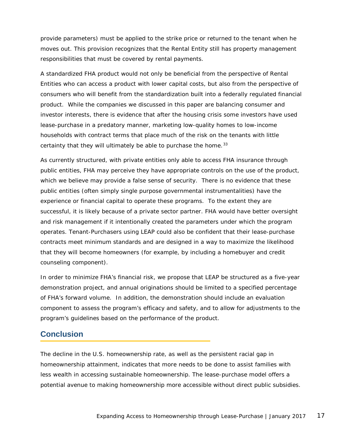provide parameters) must be applied to the strike price or returned to the tenant when he moves out. This provision recognizes that the Rental Entity still has property management responsibilities that must be covered by rental payments.

A standardized FHA product would not only be beneficial from the perspective of Rental Entities who can access a product with lower capital costs, but also from the perspective of consumers who will benefit from the standardization built into a federally regulated financial product. While the companies we discussed in this paper are balancing consumer and investor interests, there is evidence that after the housing crisis some investors have used lease-purchase in a predatory manner, marketing low-quality homes to low-income households with contract terms that place much of the risk on the tenants with little certainty that they will ultimately be able to purchase the home.  $33$ 

As currently structured, with private entities only able to access FHA insurance through public entities, FHA may perceive they have appropriate controls on the use of the product, which we believe may provide a false sense of security. There is no evidence that these public entities (often simply single purpose governmental instrumentalities) have the experience or financial capital to operate these programs. To the extent they are successful, it is likely because of a private sector partner. FHA would have better oversight and risk management if it intentionally created the parameters under which the program operates. Tenant-Purchasers using LEAP could also be confident that their lease-purchase contracts meet minimum standards and are designed in a way to maximize the likelihood that they will become homeowners (for example, by including a homebuyer and credit counseling component).

In order to minimize FHA's financial risk, we propose that LEAP be structured as a five-year demonstration project, and annual originations should be limited to a specified percentage of FHA's forward volume. In addition, the demonstration should include an evaluation component to assess the program's efficacy and safety, and to allow for adjustments to the program's guidelines based on the performance of the product.

### **Conclusion**

The decline in the U.S. homeownership rate, as well as the persistent racial gap in homeownership attainment, indicates that more needs to be done to assist families with less wealth in accessing sustainable homeownership. The lease-purchase model offers a potential avenue to making homeownership more accessible without direct public subsidies.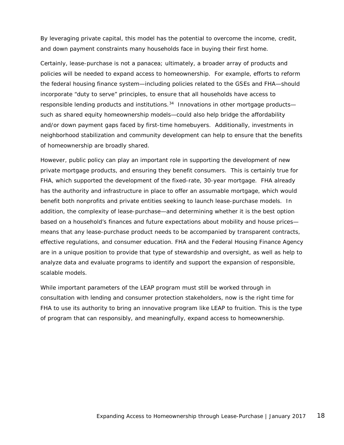By leveraging private capital, this model has the potential to overcome the income, credit, and down payment constraints many households face in buying their first home.

Certainly, lease-purchase is not a panacea; ultimately, a broader array of products and policies will be needed to expand access to homeownership. For example, efforts to reform the federal housing finance system—including policies related to the GSEs and FHA—should incorporate "duty to serve" principles, to ensure that all households have access to responsible lending products and institutions. $34$  Innovations in other mortgage products such as shared equity homeownership models—could also help bridge the affordability and/or down payment gaps faced by first-time homebuyers. Additionally, investments in neighborhood stabilization and community development can help to ensure that the benefits of homeownership are broadly shared.

However, public policy can play an important role in supporting the development of new private mortgage products, and ensuring they benefit consumers. This is certainly true for FHA, which supported the development of the fixed-rate, 30-year mortgage. FHA already has the authority and infrastructure in place to offer an assumable mortgage, which would benefit both nonprofits and private entities seeking to launch lease-purchase models. In addition, the complexity of lease-purchase—and determining whether it is the best option based on a household's finances and future expectations about mobility and house prices means that any lease-purchase product needs to be accompanied by transparent contracts, effective regulations, and consumer education. FHA and the Federal Housing Finance Agency are in a unique position to provide that type of stewardship and oversight, as well as help to analyze data and evaluate programs to identify and support the expansion of responsible, scalable models.

While important parameters of the LEAP program must still be worked through in consultation with lending and consumer protection stakeholders, now is the right time for FHA to use its authority to bring an innovative program like LEAP to fruition. This is the type of program that can responsibly, and meaningfully, expand access to homeownership.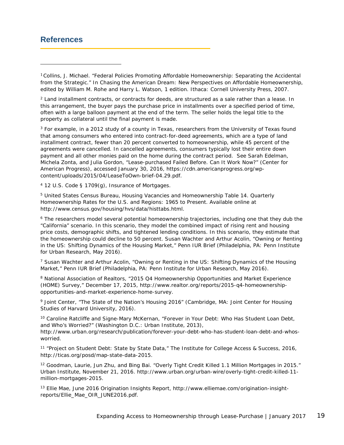## **References**

l

<span id="page-18-0"></span><sup>1</sup> Collins, J. Michael. "Federal Policies Promoting Affordable Homeownership: Separating the Accidental from the Strategic." In *Chasing the American Dream: New Perspectives on Affordable Homeownership*, edited by William M. Rohe and Harry L. Watson, 1 edition. Ithaca: Cornell University Press, 2007.

<span id="page-18-1"></span><sup>2</sup> Land installment contracts, or contracts for deeds, are structured as a sale rather than a lease. In this arrangement, the buyer pays the purchase price in installments over a specified period of time, often with a large balloon payment at the end of the term. The seller holds the legal title to the property as collateral until the final payment is made.

<span id="page-18-2"></span><sup>3</sup> For example, in a 2012 study of a county in Texas, researchers from the University of Texas found that among consumers who entered into contract-for-deed agreements, which are a type of land installment contract, fewer than 20 percent converted to homeownership, while 45 percent of the agreements were cancelled. In cancelled agreements, consumers typically lost their entire down payment and all other monies paid on the home during the contract period. See Sarah Edelman, Michela Zonta, and Julia Gordon, "Lease-purchased Failed Before. Can It Work Now?" (Center for American Progress), accessed January 30, 2016, https://cdn.americanprogress.org/wpcontent/uploads/2015/04/LeaseToOwn-brief-04.29.pdf.

<sup>4</sup> 12 U.S. Code § 1709(g), Insurance of Mortgages.

<sup>5</sup> United States Census Bureau, Housing Vacancies and Homeownership Table 14. Quarterly Homeownership Rates for the U.S. and Regions: 1965 to Present. Available online at http://www.census.gov/housing/hvs/data/histtabs.html.

<sup>6</sup> The researchers model several potential homeownership trajectories, including one that they dub the "California" scenario. In this scenario, they model the combined impact of rising rent and housing price costs, demographic shifts, and tightened lending conditions. In this scenario, they estimate that the homeownership could decline to 50 percent. Susan Wachter and Arthur Acolin, "Owning or Renting in the US: Shifting Dynamics of the Housing Market," Penn IUR Brief (Philadelphia, PA: Penn Institute for Urban Research, May 2016).

<sup>7</sup> Susan Wachter and Arthur Acolin, "Owning or Renting in the US: Shifting Dynamics of the Housing Market," Penn IUR Brief (Philadelphia, PA: Penn Institute for Urban Research, May 2016).

8 National Association of Realtors, "2015 Q4 Homeownership Opportunities and Market Experience (HOME) Survey," December 17, 2015, http://www.realtor.org/reports/2015-q4-homeownershipopportunities-and-market-experience-home-survey.

<sup>9</sup> Joint Center, "The State of the Nation's Housing 2016" (Cambridge, MA: Joint Center for Housing Studies of Harvard University, 2016).

<sup>10</sup> Caroline Ratcliffe and Signe-Mary McKernan, "Forever in Your Debt: Who Has Student Loan Debt, and Who's Worried?" (Washington D.C.: Urban Institute, 2013),

http://www.urban.org/research/publication/forever-your-debt-who-has-student-loan-debt-and-whosworried.

<sup>11</sup> "Project on Student Debt: State by State Data," *The Institute for College Access & Success*, 2016, http://ticas.org/posd/map-state-data-2015.

<sup>12</sup> Goodman, Laurie, Jun Zhu, and Bing Bai. "Overly Tight Credit Killed 1.1 Million Mortgages in 2015." *Urban Institute*, November 21, 2016. http://www.urban.org/urban-wire/overly-tight-credit-killed-11 million-mortgages-2015.

<sup>13</sup> Ellie Mae, June 2016 Origination Insights Report, http://www.elliemae.com/origination-insightreports/Ellie\_Mae\_OIR\_JUNE2016.pdf.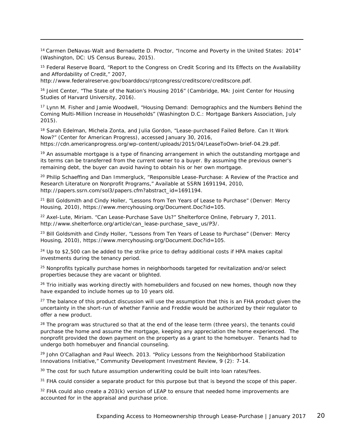<sup>14</sup> Carmen DeNavas-Walt and Bernadette D. Proctor, "Income and Poverty in the United States: 2014" (Washington, DC: US Census Bureau, 2015).

<sup>15</sup> Federal Reserve Board, "Report to the Congress on Credit Scoring and Its Effects on the Availability and Affordability of Credit," 2007,

http://www.federalreserve.gov/boarddocs/rptcongress/creditscore/creditscore.pdf.

l

<sup>16</sup> Joint Center, "The State of the Nation's Housing 2016" (Cambridge, MA: Joint Center for Housing Studies of Harvard University, 2016).

<sup>17</sup> Lynn M. Fisher and Jamie Woodwell, "Housing Demand: Demographics and the Numbers Behind the Coming Multi-Million Increase in Households" (Washington D.C.: Mortgage Bankers Association, July 2015).

<sup>18</sup> Sarah Edelman, Michela Zonta, and Julia Gordon, "Lease-purchased Failed Before. Can It Work Now?" (Center for American Progress), accessed January 30, 2016, https://cdn.americanprogress.org/wp-content/uploads/2015/04/LeaseToOwn-brief-04.29.pdf.

 $19$  An assumable mortgage is a type of financing arrangement in which the outstanding mortgage and its terms can be transferred from the current owner to a buyer. By assuming the previous owner's remaining debt, the buyer can avoid having to obtain his or her own mortgage.

<span id="page-19-0"></span><sup>20</sup> Philip Schaeffing and Dan Immergluck, "Responsible Lease-Purchase: A Review of the Practice and Research Literature on Nonprofit Programs," *Available at SSRN 1691194*, 2010, http://papers.ssrn.com/sol3/papers.cfm?abstract\_id=1691194.

<span id="page-19-1"></span><sup>21</sup> Bill Goldsmith and Cindy Holler, "Lessons from Ten Years of Lease to Purchase" (Denver: Mercy Housing, 2010), https://www.mercyhousing.org/Document.Doc?id=105.

<span id="page-19-2"></span><sup>22</sup> Axel-Lute, Miriam. "Can Lease-Purchase Save Us?" *Shelterforce Online*, February 7, 2011. http://www.shelterforce.org/article/can\_lease-purchase\_save\_us/P3/.

<sup>23</sup> Bill Goldsmith and Cindy Holler, "Lessons from Ten Years of Lease to Purchase" (Denver: Mercy Housing, 2010), https://www.mercyhousing.org/Document.Doc?id=105.

 $24$  Up to \$2,500 can be added to the strike price to defray additional costs if HPA makes capital investments during the tenancy period.

<sup>25</sup> Nonprofits typically purchase homes in neighborhoods targeted for revitalization and/or select properties because they are vacant or blighted.

<sup>26</sup> Trio initially was working directly with homebuilders and focused on new homes, though now they have expanded to include homes up to 10 years old.

<sup>27</sup> The balance of this product discussion will use the assumption that this is an FHA product given the uncertainty in the short-run of whether Fannie and Freddie would be authorized by their regulator to offer a new product.

<sup>28</sup> The program was structured so that at the end of the lease term (three years), the tenants could purchase the home and assume the mortgage, keeping any appreciation the home experienced. The nonprofit provided the down payment on the property as a grant to the homebuyer. Tenants had to undergo both homebuyer and financial counseling.

<sup>29</sup> John O'Callaghan and Paul Weech. 2013. "Policy Lessons from the Neighborhood Stabilization Innovations Initiative," Community Development Investment Review, 9 (2): 7-14.

<sup>30</sup> The cost for such future assumption underwriting could be built into loan rates/fees.

<sup>31</sup> FHA could consider a separate product for this purpose but that is beyond the scope of this paper.

 $32$  FHA could also create a 203(k) version of LEAP to ensure that needed home improvements are accounted for in the appraisal and purchase price.